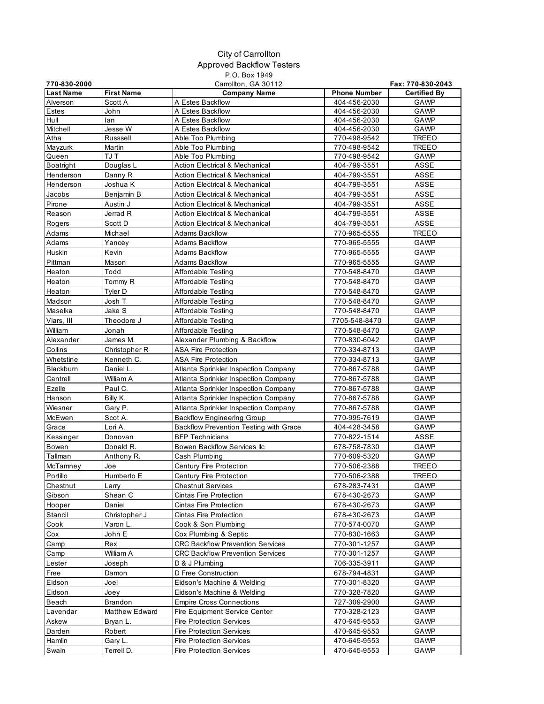## City of Carrollton Approved Backflow Testers P.O. Box 1949

| 770-830-2000     |                   | Carrollton, GA 30112                          |                     | Fax: 770-830-2043   |
|------------------|-------------------|-----------------------------------------------|---------------------|---------------------|
| <b>Last Name</b> | <b>First Name</b> | <b>Company Name</b>                           | <b>Phone Number</b> | <b>Certified By</b> |
| Alverson         | Scott A           | A Estes Backflow                              | 404-456-2030        | <b>GAWP</b>         |
| Estes            | John              | A Estes Backflow                              | 404-456-2030        | GAWP                |
| Hull             | lan               | A Estes Backflow                              | 404-456-2030        | GAWP                |
| Mitchell         | Jesse W           | A Estes Backflow                              | 404-456-2030        | <b>GAWP</b>         |
| Atha             | Russsell          | Able Too Plumbing                             | 770-498-9542        | <b>TREEO</b>        |
| Mayzurk          | Martin            | Able Too Plumbing                             | 770-498-9542        | <b>TREEO</b>        |
| Queen            | TJ T              | Able Too Plumbing                             | 770-498-9542        | GAWP                |
| Boatright        | Douglas L         | <b>Action Electrical &amp; Mechanical</b>     | 404-799-3551        | <b>ASSE</b>         |
| Henderson        | Danny R           | <b>Action Electrical &amp; Mechanical</b>     | 404-799-3551        | ASSE                |
| Henderson        | Joshua K          | <b>Action Electrical &amp; Mechanical</b>     | 404-799-3551        | ASSE                |
| Jacobs           | Benjamin B        | Action Electrical & Mechanical                | 404-799-3551        | <b>ASSE</b>         |
| Pirone           | Austin J          | <b>Action Electrical &amp; Mechanical</b>     | 404-799-3551        | ASSE                |
| Reason           | Jerrad R          | <b>Action Electrical &amp; Mechanical</b>     | 404-799-3551        | ASSE                |
| Rogers           | Scott D           | <b>Action Electrical &amp; Mechanical</b>     | 404-799-3551        | <b>ASSE</b>         |
| Adams            | Michael           | Adams Backflow                                | 770-965-5555        | <b>TREEO</b>        |
| Adams            | Yancey            | Adams Backflow                                | 770-965-5555        | GAWP                |
| Huskin           | Kevin             | Adams Backflow                                | 770-965-5555        | GAWP                |
| Pittman          | Mason             | Adams Backflow                                | 770-965-5555        | <b>GAWP</b>         |
| Heaton           | Todd              | Affordable Testing                            | 770-548-8470        | <b>GAWP</b>         |
| Heaton           | Tommy R           | Affordable Testing                            | 770-548-8470        | <b>GAWP</b>         |
| Heaton           | Tyler D           | Affordable Testing                            | 770-548-8470        | GAWP                |
| Madson           | Josh T            | Affordable Testing                            | 770-548-8470        | GAWP                |
| Maselka          | Jake S            | Affordable Testing                            | 770-548-8470        | GAWP                |
| Viars, III       | Theodore J        | Affordable Testing                            | 7705-548-8470       | <b>GAWP</b>         |
| William          | Jonah             | Affordable Testing                            | 770-548-8470        | <b>GAWP</b>         |
| Alexander        | James M.          | Alexander Plumbing & Backflow                 | 770-830-6042        | GAWP                |
| Collins          | Christopher R     | <b>ASA Fire Protection</b>                    | 770-334-8713        | GAWP                |
| Whetstine        | Kenneth C.        | ASA Fire Protection                           | 770-334-8713        | GAWP                |
| Blackburn        | Daniel L.         | Atlanta Sprinkler Inspection Company          | 770-867-5788        | GAWP                |
| Cantrell         | William A         | Atlanta Sprinkler Inspection Company          | 770-867-5788        | GAWP                |
| Ezelle           | Paul C.           | Atlanta Sprinkler Inspection Company          | 770-867-5788        | GAWP                |
|                  |                   |                                               |                     |                     |
| Hanson           | Billy K.          | Atlanta Sprinkler Inspection Company          | 770-867-5788        | GAWP                |
| Wiesner          | Gary P.           | Atlanta Sprinkler Inspection Company          | 770-867-5788        | GAWP                |
| McEwen           | Scot A.           | <b>Backflow Engineering Group</b>             | 770-995-7619        | GAWP                |
| Grace            | Lori A.           | <b>Backflow Prevention Testing with Grace</b> | 404-428-3458        | GAWP                |
| Kessinger        | Donovan           | <b>BFP Technicians</b>                        | 770-822-1514        | <b>ASSE</b>         |
| Bowen            | Donald R.         | Bowen Backflow Services Ilc                   | 678-758-7830        | GAWP                |
| Tallman          | Anthony R.        | Cash Plumbing                                 | 770-609-5320        | GAWP                |
| McTamney         | Joe               | Century Fire Protection                       | 770-506-2388        | <b>TREEO</b>        |
| Portillo         | Humberto E        | Century Fire Protection                       | 770-506-2388        | <b>TREEO</b>        |
| Chestnut         | Larry             | <b>Chestnut Services</b>                      | 678-283-7431        | <b>GAWP</b>         |
| Gibson           | Shean C           | Cintas Fire Protection                        | 678-430-2673        | GAWP                |
| Hooper           | Daniel            | Cintas Fire Protection                        | 678-430-2673        | GAWP                |
| Stancil          | Christopher J     | Cintas Fire Protection                        | 678-430-2673        | GAWP                |
| Cook             | Varon L.          | Cook & Son Plumbing                           | 770-574-0070        | GAWP                |
| Cox              | John E            | Cox Plumbing & Septic                         | 770-830-1663        | GAWP                |
| Camp             | Rex               | <b>CRC Backflow Prevention Services</b>       | 770-301-1257        | GAWP                |
| Camp             | William A         | <b>CRC Backflow Prevention Services</b>       | 770-301-1257        | GAWP                |
| Lester           | Joseph            | D & J Plumbing                                | 706-335-3911        | GAWP                |
| Free             | Damon             | D Free Construction                           | 678-794-4831        | GAWP                |
| Eidson           | Joel              | Eidson's Machine & Welding                    | 770-301-8320        | GAWP                |
| Eidson           | Joey              | Eidson's Machine & Welding                    | 770-328-7820        | GAWP                |
| Beach            | Brandon           | <b>Empire Cross Connections</b>               | 727-309-2900        | GAWP                |
| Lavendar         | Matthew Edward    | Fire Equipment Service Center                 | 770-328-2123        | GAWP                |
| Askew            | Bryan L.          | <b>Fire Protection Services</b>               | 470-645-9553        | GAWP                |
| Darden           | Robert            | <b>Fire Protection Services</b>               | 470-645-9553        | GAWP                |
| Hamlin           | Gary L.           | <b>Fire Protection Services</b>               | 470-645-9553        | GAWP                |
| Swain            | Terrell D.        | <b>Fire Protection Services</b>               | 470-645-9553        | GAWP                |